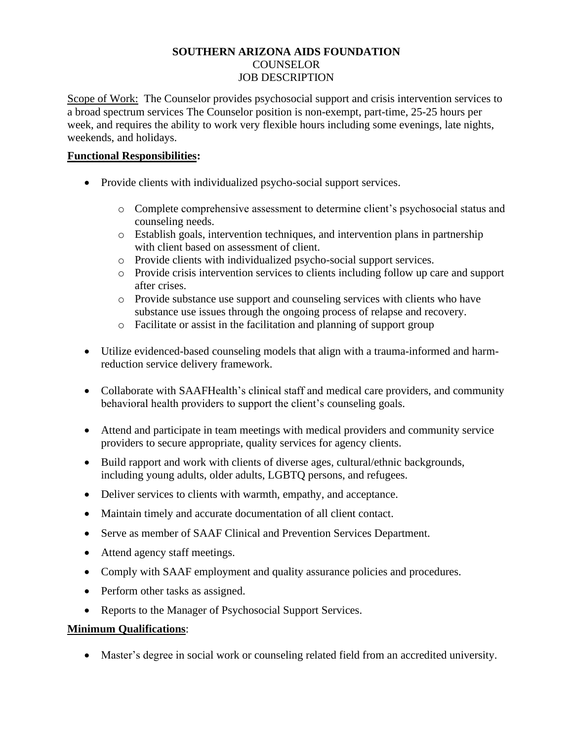## **SOUTHERN ARIZONA AIDS FOUNDATION** COUNSELOR JOB DESCRIPTION

Scope of Work: The Counselor provides psychosocial support and crisis intervention services to a broad spectrum services The Counselor position is non-exempt, part-time, 25-25 hours per week, and requires the ability to work very flexible hours including some evenings, late nights, weekends, and holidays.

## **Functional Responsibilities:**

- Provide clients with individualized psycho-social support services.
	- o Complete comprehensive assessment to determine client's psychosocial status and counseling needs.
	- o Establish goals, intervention techniques, and intervention plans in partnership with client based on assessment of client.
	- o Provide clients with individualized psycho-social support services.
	- o Provide crisis intervention services to clients including follow up care and support after crises.
	- o Provide substance use support and counseling services with clients who have substance use issues through the ongoing process of relapse and recovery.
	- o Facilitate or assist in the facilitation and planning of support group
- Utilize evidenced-based counseling models that align with a trauma-informed and harmreduction service delivery framework.
- Collaborate with SAAFHealth's clinical staff and medical care providers, and community behavioral health providers to support the client's counseling goals.
- Attend and participate in team meetings with medical providers and community service providers to secure appropriate, quality services for agency clients.
- Build rapport and work with clients of diverse ages, cultural/ethnic backgrounds, including young adults, older adults, LGBTQ persons, and refugees.
- Deliver services to clients with warmth, empathy, and acceptance.
- Maintain timely and accurate documentation of all client contact.
- Serve as member of SAAF Clinical and Prevention Services Department.
- Attend agency staff meetings.
- Comply with SAAF employment and quality assurance policies and procedures.
- Perform other tasks as assigned.
- Reports to the Manager of Psychosocial Support Services.

## **Minimum Qualifications**:

• Master's degree in social work or counseling related field from an accredited university.